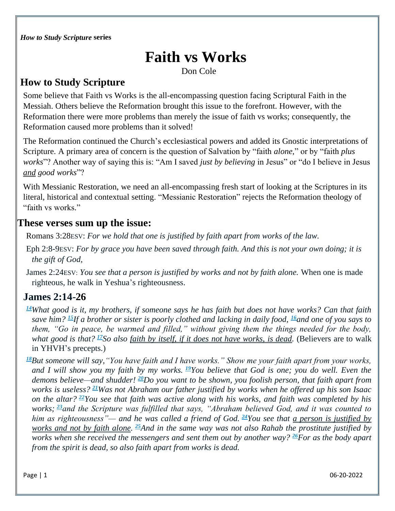# **Faith vs Works**

Don Cole

### **How to Study Scripture**

Some believe that Faith vs Works is the all-encompassing question facing Scriptural Faith in the Messiah. Others believe the Reformation brought this issue to the forefront. However, with the Reformation there were more problems than merely the issue of faith vs works; consequently, the Reformation caused more problems than it solved!

The Reformation continued the Church's ecclesiastical powers and added its Gnostic interpretations of Scripture. A primary area of concern is the question of Salvation by "faith *alone*," or by "faith *plus works*"? Another way of saying this is: "Am I saved *just by believing* in Jesus" or "do I believe in Jesus *and good works*"?

With Messianic Restoration, we need an all-encompassing fresh start of looking at the Scriptures in its literal, historical and contextual setting. "Messianic Restoration" rejects the Reformation theology of "faith vs works."

#### **These verses sum up the issue:**

Romans 3:28ESV: *For we hold that one is justified by faith apart from works of the law.*

- Eph 2:8-9ESV: *For by grace you have been saved through faith. And this is not your own doing; it is the gift of God,*
- James 2:24ESV: *You see that a person is justified by works and not by faith alone.* When one is made righteous, he walk in Yeshua's righteousness.

## **James 2:14-26**

- *[14](http://biblehub.com/james/2-14.htm)What good is it, my brothers, if someone says he has faith but does not have works? Can that faith save him? [15](http://biblehub.com/james/2-15.htm)If a brother or sister is poorly clothed and lacking in daily food, [16](http://biblehub.com/james/2-16.htm)and one of you says to them, "Go in peace, be warmed and filled," without giving them the things needed for the body, what good is that? [17](http://biblehub.com/james/2-17.htm)So also faith by itself, if it does not have works, is dead.* (Believers are to walk in YHVH's precepts.)
- *[18](http://biblehub.com/james/2-18.htm)But someone will say,"You have faith and I have works." Show me your faith apart from your works, and I will show you my faith by my works. [19](http://biblehub.com/james/2-19.htm)You believe that God is one; you do well. Even the demons believe—and shudder! [20](http://biblehub.com/james/2-20.htm)Do you want to be shown, you foolish person, that faith apart from works is useless? [21](http://biblehub.com/james/2-21.htm)Was not Abraham our father justified by works when he offered up his son Isaac on the altar? [22](http://biblehub.com/james/2-22.htm)You see that faith was active along with his works, and faith was completed by his works; [23](http://biblehub.com/james/2-23.htm)and the Scripture was fulfilled that says, "Abraham believed God, and it was counted to him as righteousness"— and he was called a friend of God. [24](http://biblehub.com/james/2-24.htm)You see that a person is justified by works and not by faith alone. [25](http://biblehub.com/james/2-25.htm)And in the same way was not also Rahab the prostitute justified by works when she received the messengers and sent them out by another way? [26](http://biblehub.com/james/2-26.htm)For as the body apart from the spirit is dead, so also faith apart from works is dead.*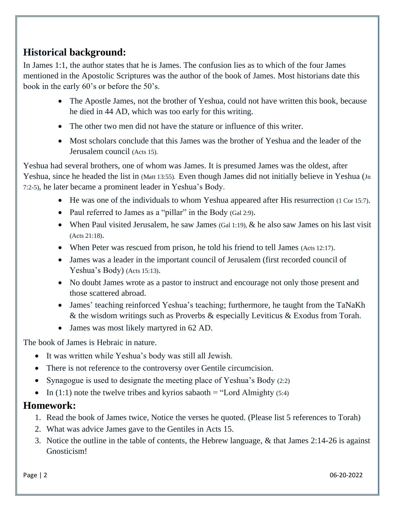## **Historical background:**

In James 1:1, the author states that he is James. The confusion lies as to which of the four James mentioned in the Apostolic Scriptures was the author of the book of James. Most historians date this book in the early 60's or before the 50's.

- The Apostle James, not the brother of Yeshua, could not have written this book, because he died in 44 AD, which was too early for this writing.
- The other two men did not have the stature or influence of this writer.
- Most scholars conclude that this James was the brother of Yeshua and the leader of the Jerusalem council (Acts 15).

Yeshua had several brothers, one of whom was James. It is presumed James was the oldest, after Yeshua, since he headed the list in (Matt 13:55). Even though James did not initially believe in Yeshua (Jn 7:2-5), he later became a prominent leader in Yeshua's Body.

- He was one of the individuals to whom Yeshua appeared after His resurrection (1 Cor 15:7).
- Paul referred to James as a "pillar" in the Body (Gal 2:9).
- When Paul visited Jerusalem, he saw James (Gal 1:19),  $\&$  he also saw James on his last visit (Acts 21:18).
- When Peter was rescued from prison, he told his friend to tell James (Acts 12:17).
- James was a leader in the important council of Jerusalem (first recorded council of Yeshua's Body) (Acts 15:13).
- No doubt James wrote as a pastor to instruct and encourage not only those present and those scattered abroad.
- James' teaching reinforced Yeshua's teaching; furthermore, he taught from the TaNaKh & the wisdom writings such as Proverbs & especially Leviticus & Exodus from Torah.
- James was most likely martyred in 62 AD.

The book of James is Hebraic in nature.

- It was written while Yeshua's body was still all Jewish.
- There is not reference to the controversy over Gentile circumcision.
- Synagogue is used to designate the meeting place of Yeshua's Body (2:2)
- In (1:1) note the twelve tribes and kyrios sabaoth = "Lord Almighty (5:4)

#### **Homework:**

- 1. Read the book of James twice, Notice the verses he quoted. (Please list 5 references to Torah)
- 2. What was advice James gave to the Gentiles in Acts 15.
- 3. Notice the outline in the table of contents, the Hebrew language, & that James 2:14-26 is against Gnosticism!